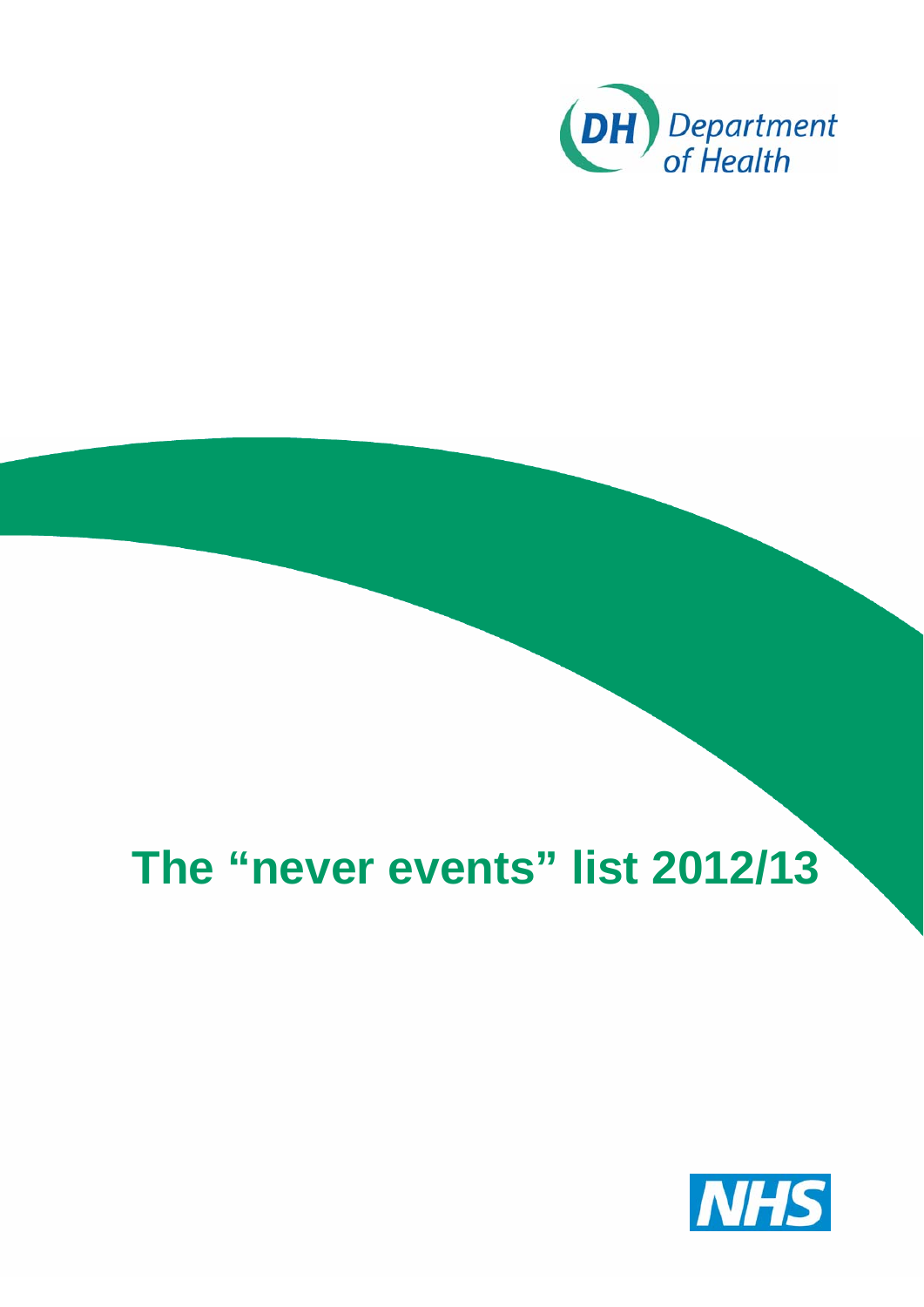

# **The "never events" list 2012/13**

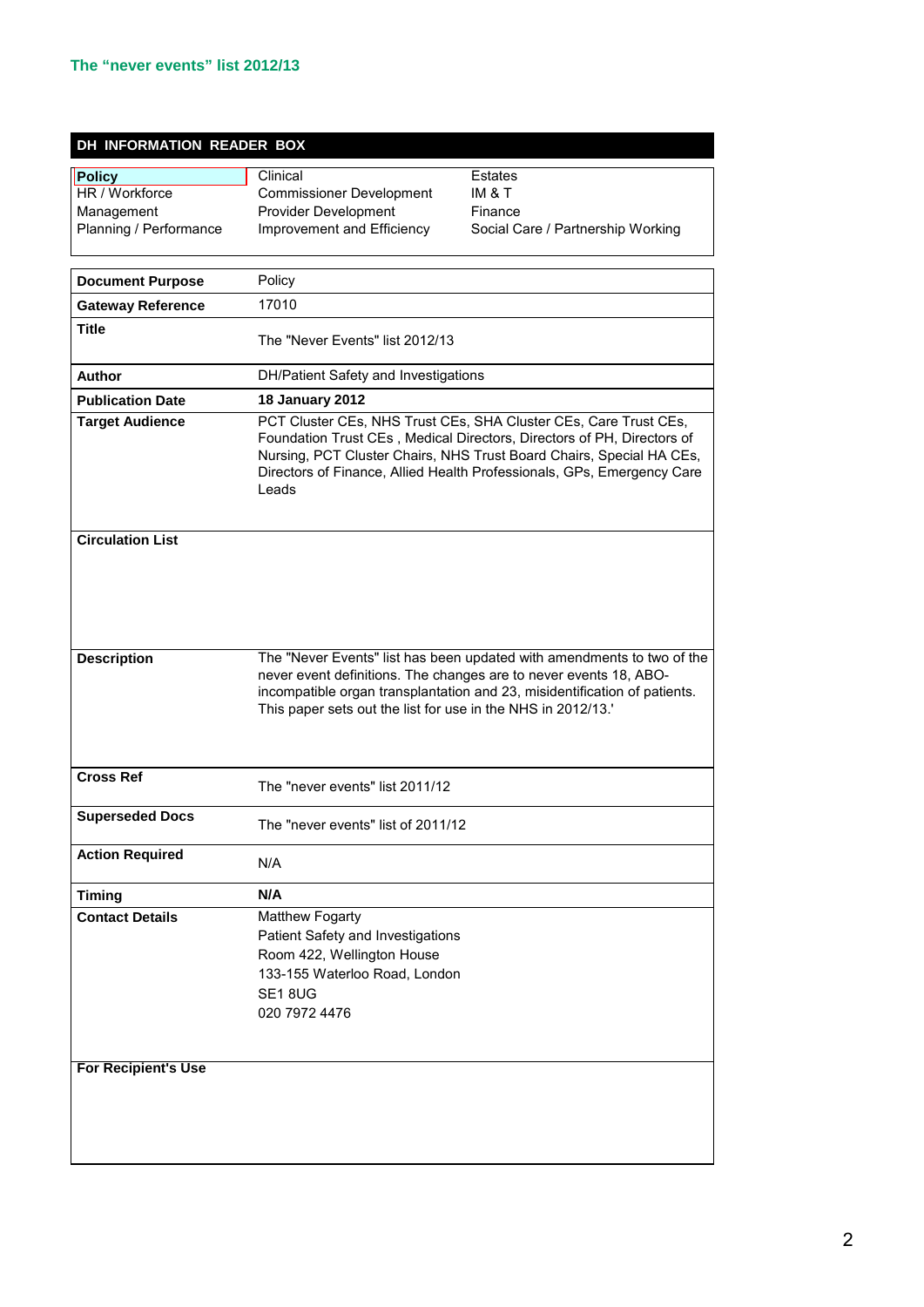#### **DH INFORMATION READER BOX**

| Policy<br>HR / Workforce<br>Management<br>Planning / Performance | Clinical<br><b>Commissioner Development</b><br>Provider Development<br>Improvement and Efficiency                                                                                                                                                                                                     | <b>Estates</b><br>IM & T<br>Finance<br>Social Care / Partnership Working |
|------------------------------------------------------------------|-------------------------------------------------------------------------------------------------------------------------------------------------------------------------------------------------------------------------------------------------------------------------------------------------------|--------------------------------------------------------------------------|
| <b>Document Purpose</b>                                          | Policy                                                                                                                                                                                                                                                                                                |                                                                          |
| <b>Gateway Reference</b>                                         | 17010                                                                                                                                                                                                                                                                                                 |                                                                          |
| <b>Title</b>                                                     | The "Never Events" list 2012/13                                                                                                                                                                                                                                                                       |                                                                          |
| Author                                                           | DH/Patient Safety and Investigations                                                                                                                                                                                                                                                                  |                                                                          |
| <b>Publication Date</b>                                          | <b>18 January 2012</b>                                                                                                                                                                                                                                                                                |                                                                          |
| <b>Target Audience</b>                                           | PCT Cluster CEs, NHS Trust CEs, SHA Cluster CEs, Care Trust CEs,<br>Foundation Trust CEs, Medical Directors, Directors of PH, Directors of<br>Nursing, PCT Cluster Chairs, NHS Trust Board Chairs, Special HA CEs,<br>Directors of Finance, Allied Health Professionals, GPs, Emergency Care<br>Leads |                                                                          |
| <b>Circulation List</b>                                          |                                                                                                                                                                                                                                                                                                       |                                                                          |
| <b>Description</b>                                               | The "Never Events" list has been updated with amendments to two of the<br>never event definitions. The changes are to never events 18, ABO-<br>incompatible organ transplantation and 23, misidentification of patients.<br>This paper sets out the list for use in the NHS in 2012/13.'              |                                                                          |
| <b>Cross Ref</b>                                                 | The "never events" list 2011/12                                                                                                                                                                                                                                                                       |                                                                          |
| <b>Superseded Docs</b>                                           | The "never events" list of 2011/12                                                                                                                                                                                                                                                                    |                                                                          |
| <b>Action Required</b>                                           | N/A                                                                                                                                                                                                                                                                                                   |                                                                          |
| <b>Timing</b>                                                    | N/A                                                                                                                                                                                                                                                                                                   |                                                                          |
| <b>Contact Details</b>                                           | Matthew Fogarty<br>Patient Safety and Investigations<br>Room 422, Wellington House<br>133-155 Waterloo Road, London<br>SE18UG<br>020 7972 4476                                                                                                                                                        |                                                                          |
| <b>For Recipient's Use</b>                                       |                                                                                                                                                                                                                                                                                                       |                                                                          |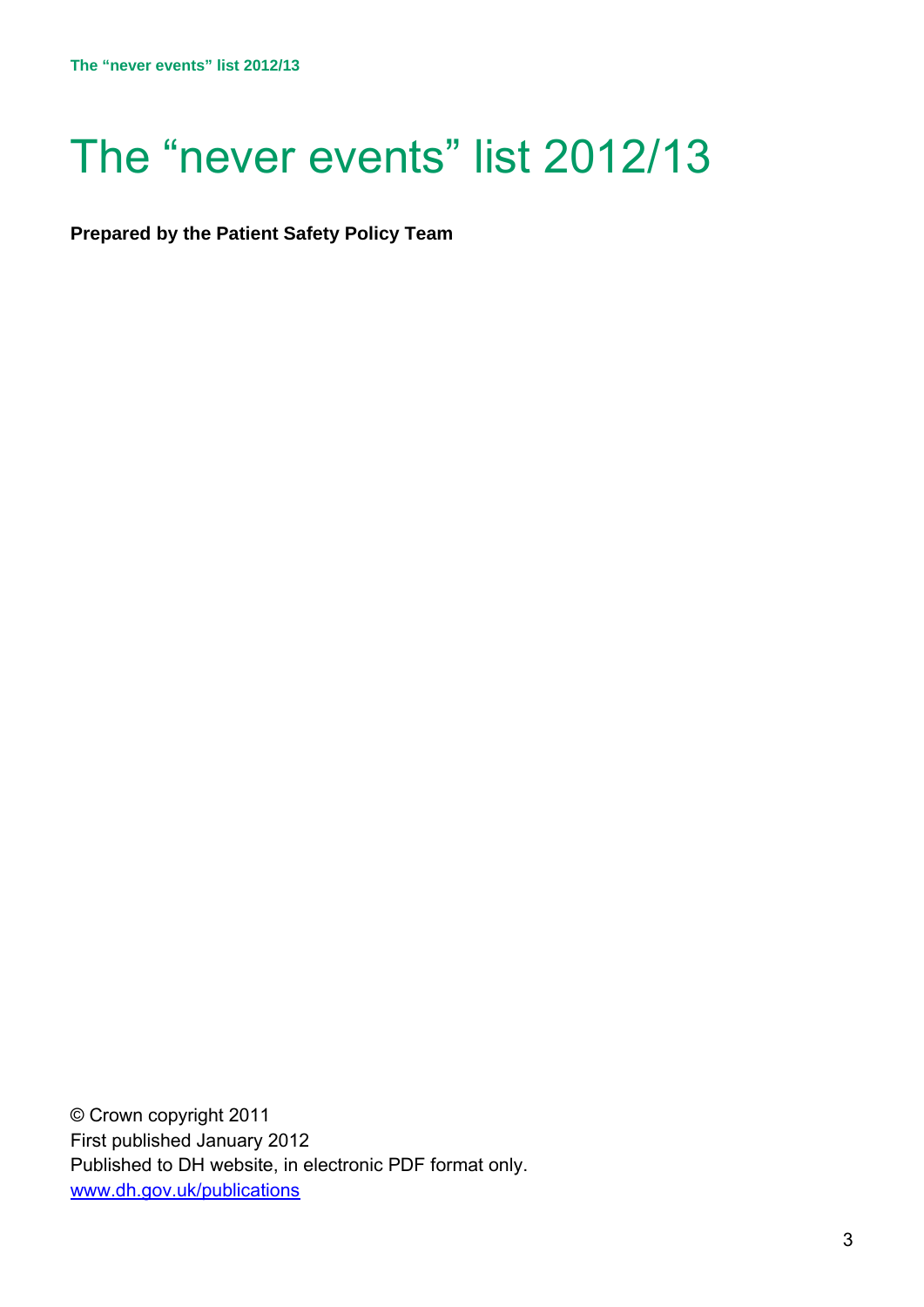# The "never events" list 2012/13

**Prepared by the Patient Safety Policy Team** 

© Crown copyright 2011 First published January 2012 Published to DH website, in electronic PDF format only. www.dh.gov.uk/publications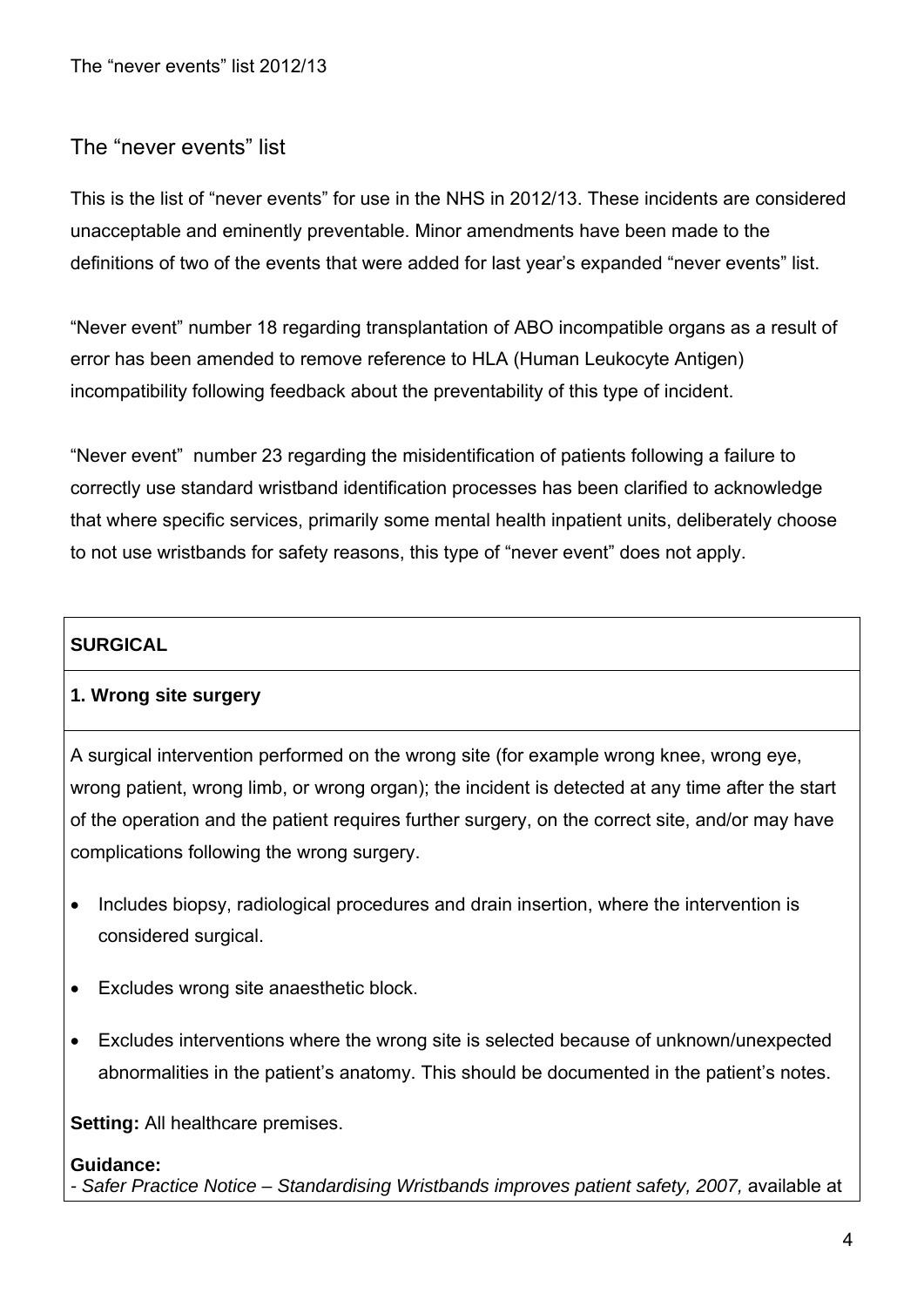# The "never events" list

This is the list of "never events" for use in the NHS in 2012/13. These incidents are considered unacceptable and eminently preventable. Minor amendments have been made to the definitions of two of the events that were added for last year's expanded "never events" list.

"Never event" number 18 regarding transplantation of ABO incompatible organs as a result of error has been amended to remove reference to HLA (Human Leukocyte Antigen) incompatibility following feedback about the preventability of this type of incident.

"Never event" number 23 regarding the misidentification of patients following a failure to correctly use standard wristband identification processes has been clarified to acknowledge that where specific services, primarily some mental health inpatient units, deliberately choose to not use wristbands for safety reasons, this type of "never event" does not apply.

# **SURGICAL**

# **1. Wrong site surgery**

A surgical intervention performed on the wrong site (for example wrong knee, wrong eye, wrong patient, wrong limb, or wrong organ); the incident is detected at any time after the start of the operation and the patient requires further surgery, on the correct site, and/or may have complications following the wrong surgery.

- Includes biopsy, radiological procedures and drain insertion, where the intervention is considered surgical.
- Excludes wrong site anaesthetic block.
- Excludes interventions where the wrong site is selected because of unknown/unexpected abnormalities in the patient's anatomy. This should be documented in the patient's notes.

**Setting:** All healthcare premises.

#### **Guidance:**

- Safer Practice Notice – Standardising Wristbands improves patient safety, 2007, available at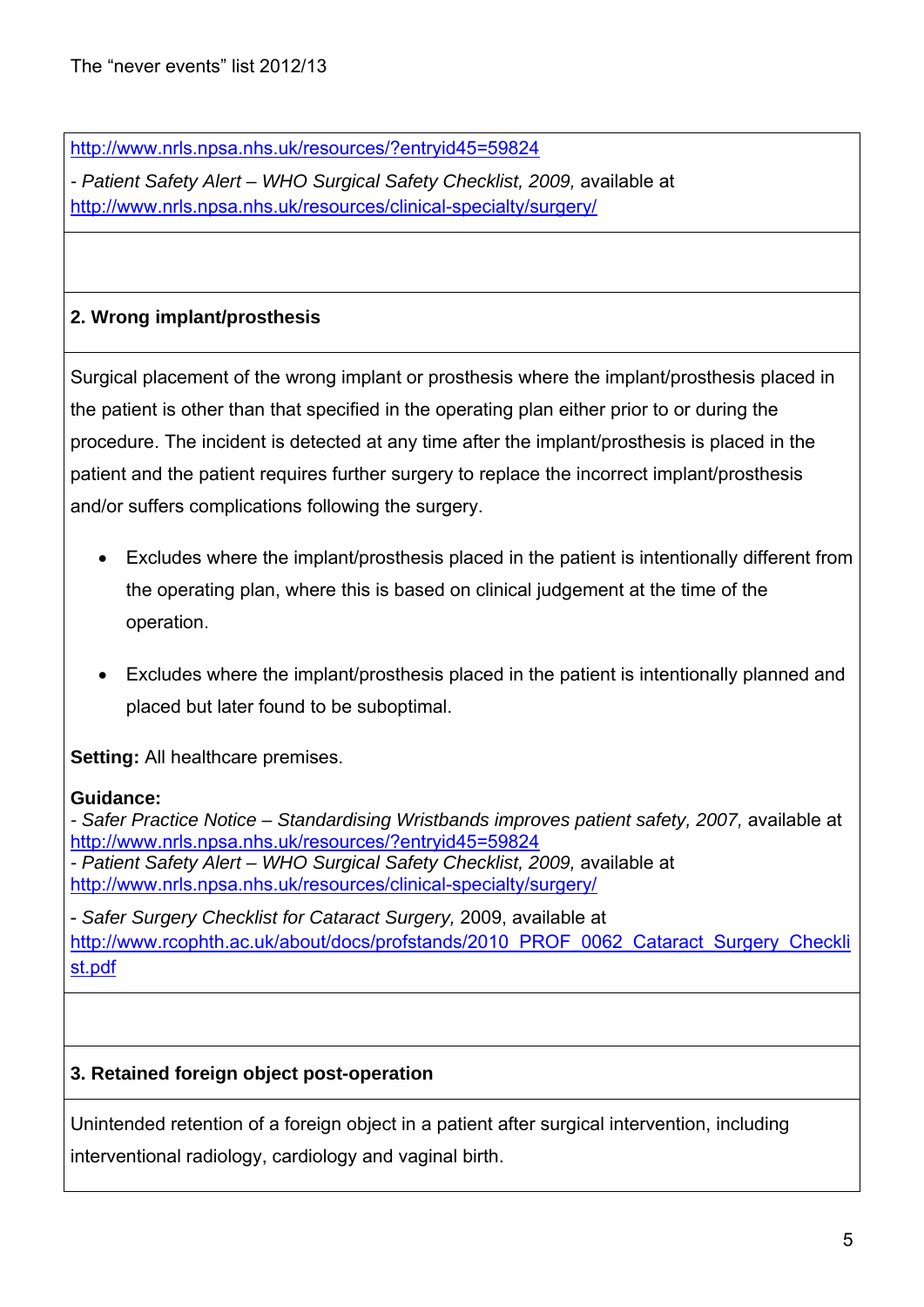http://www.nrls.npsa.nhs.uk/resources/?entryid45=59824

*- Patient Safety Alert – WHO Surgical Safety Checklist, 2009,* available at http://www.nrls.npsa.nhs.uk/resources/clinical-specialty/surgery/

# **2. Wrong implant/prosthesis**

Surgical placement of the wrong implant or prosthesis where the implant/prosthesis placed in the patient is other than that specified in the operating plan either prior to or during the procedure. The incident is detected at any time after the implant/prosthesis is placed in the patient and the patient requires further surgery to replace the incorrect implant/prosthesis and/or suffers complications following the surgery.

- Excludes where the implant/prosthesis placed in the patient is intentionally different from the operating plan, where this is based on clinical judgement at the time of the operation.
- Excludes where the implant/prosthesis placed in the patient is intentionally planned and placed but later found to be suboptimal.

**Setting:** All healthcare premises.

#### **Guidance:**

- Safer Practice Notice – Standardising Wristbands improves patient safety, 2007, available at http://www.nrls.npsa.nhs.uk/resources/?entryid45=59824 *- Patient Safety Alert – WHO Surgical Safety Checklist, 2009,* available at http://www.nrls.npsa.nhs.uk/resources/clinical-specialty/surgery/

- *Safer Surgery Checklist for Cataract Surgery,* 2009, available at http://www.rcophth.ac.uk/about/docs/profstands/2010\_PROF\_0062\_Cataract\_Surgery\_Checkli st.pdf

# **3. Retained foreign object post-operation**

Unintended retention of a foreign object in a patient after surgical intervention, including interventional radiology, cardiology and vaginal birth.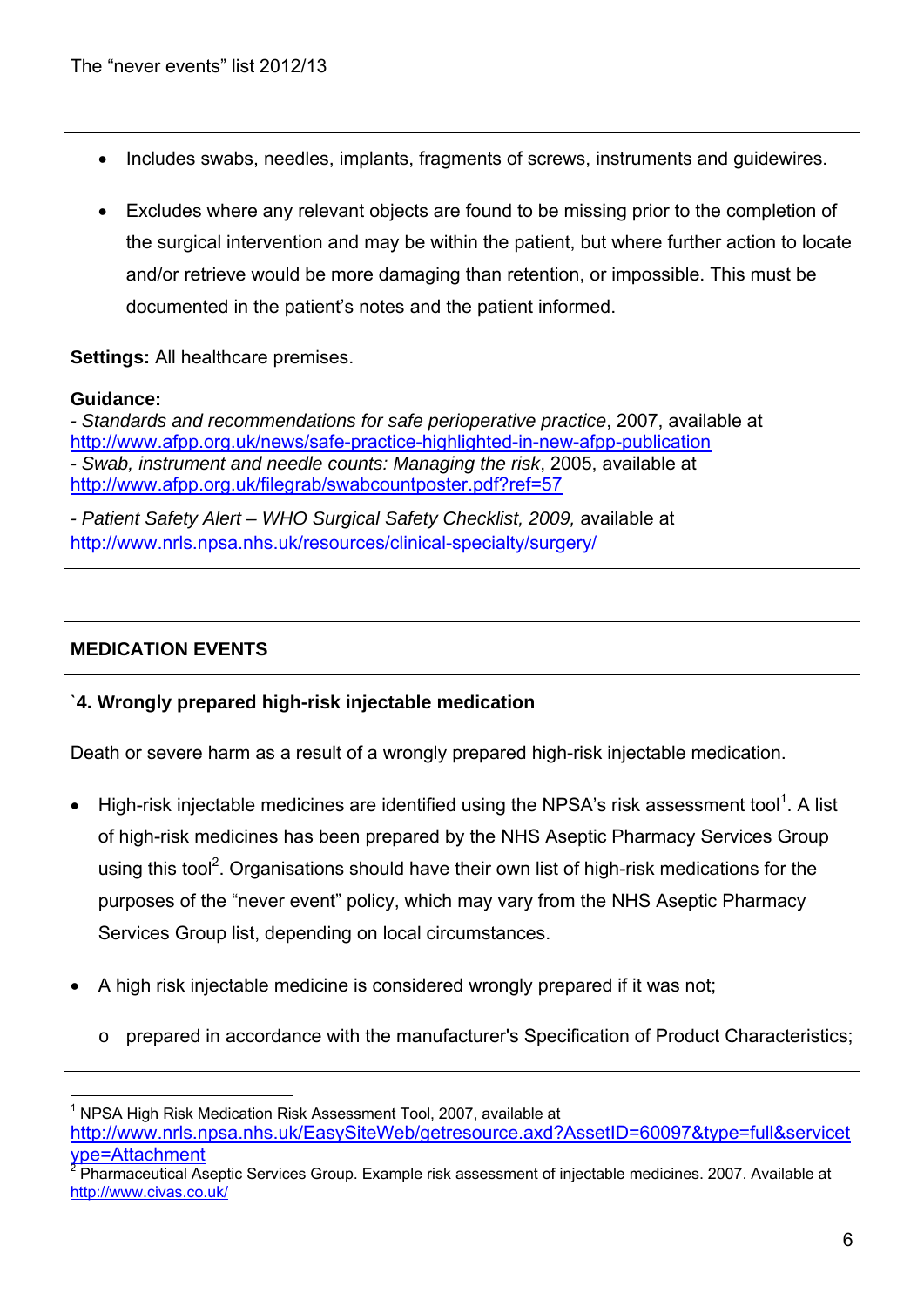- Includes swabs, needles, implants, fragments of screws, instruments and guidewires.
- Excludes where any relevant objects are found to be missing prior to the completion of the surgical intervention and may be within the patient, but where further action to locate and/or retrieve would be more damaging than retention, or impossible. This must be documented in the patient's notes and the patient informed.

**Settings:** All healthcare premises.

#### **Guidance:**

<u>.</u>

*- Standards and recommendations for safe perioperative practice*, 2007, available at http://www.afpp.org.uk/news/safe-practice-highlighted-in-new-afpp-publication *- Swab, instrument and needle counts: Managing the risk*, 2005, available at http://www.afpp.org.uk/filegrab/swabcountposter.pdf?ref=57

*- Patient Safety Alert – WHO Surgical Safety Checklist, 2009,* available at http://www.nrls.npsa.nhs.uk/resources/clinical-specialty/surgery/

# **MEDICATION EVENTS**

# `**4. Wrongly prepared high-risk injectable medication**

Death or severe harm as a result of a wrongly prepared high-risk injectable medication.

- High-risk injectable medicines are identified using the NPSA's risk assessment tool<sup>1</sup>. A list of high-risk medicines has been prepared by the NHS Aseptic Pharmacy Services Group using this tool<sup>2</sup>. Organisations should have their own list of high-risk medications for the purposes of the "never event" policy, which may vary from the NHS Aseptic Pharmacy Services Group list, depending on local circumstances.
- A high risk injectable medicine is considered wrongly prepared if it was not;
	- o prepared in accordance with the manufacturer's Specification of Product Characteristics;

<sup>&</sup>lt;sup>1</sup> NPSA High Risk Medication Risk Assessment Tool, 2007, available at http://www.nrls.npsa.nhs.uk/EasySiteWeb/getresource.axd?AssetID=60097&type=full&servicet ype=Attachment

<sup>2</sup> Pharmaceutical Aseptic Services Group. Example risk assessment of injectable medicines. 2007. Available at http://www.civas.co.uk/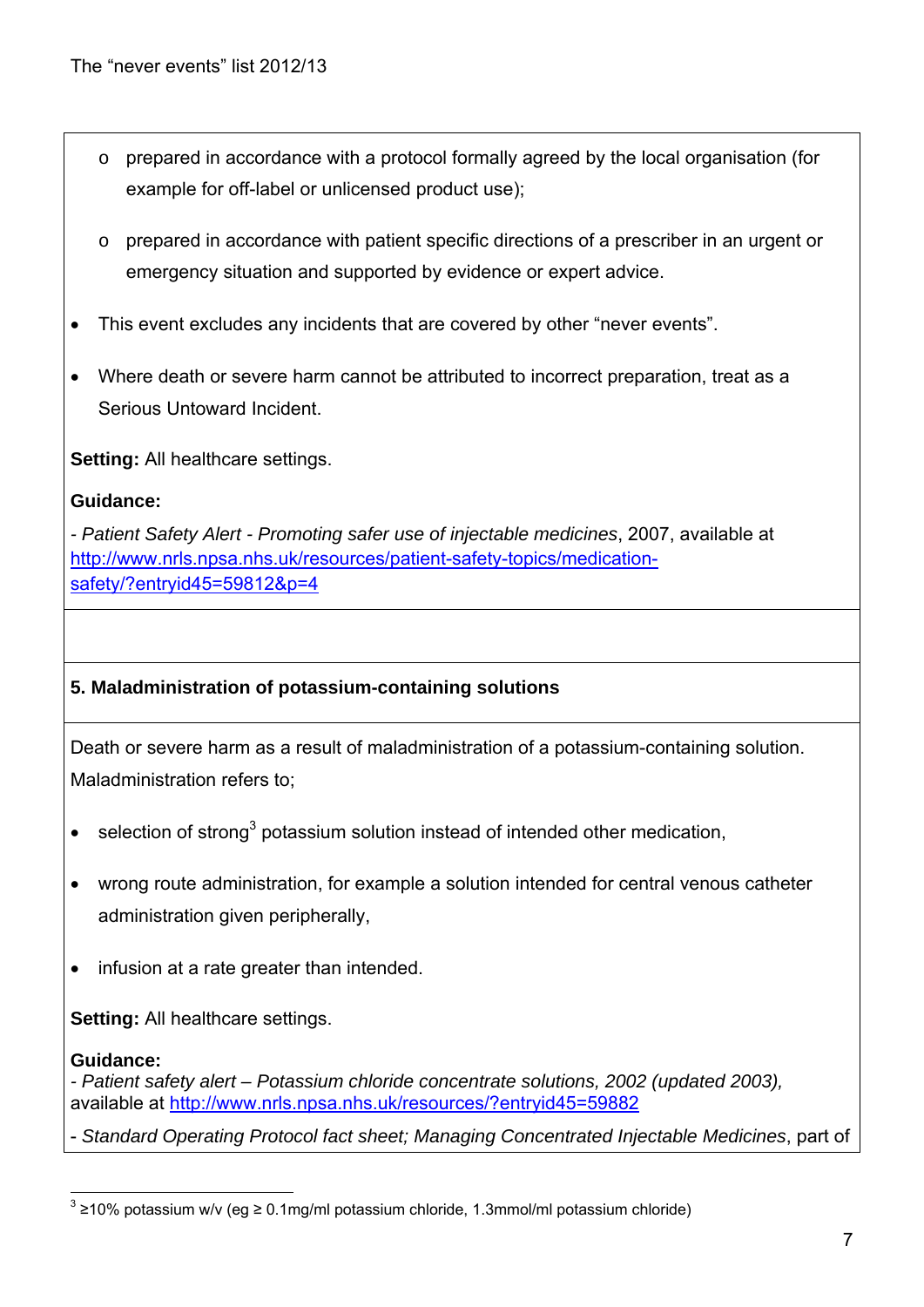- o prepared in accordance with a protocol formally agreed by the local organisation (for example for off-label or unlicensed product use);
- $\circ$  prepared in accordance with patient specific directions of a prescriber in an urgent or emergency situation and supported by evidence or expert advice.
- This event excludes any incidents that are covered by other "never events".
- Where death or severe harm cannot be attributed to incorrect preparation, treat as a Serious Untoward Incident.

**Setting:** All healthcare settings.

# **Guidance:**

*- Patient Safety Alert - Promoting safer use of injectable medicines*, 2007, available at http://www.nrls.npsa.nhs.uk/resources/patient-safety-topics/medicationsafety/?entryid45=59812&p=4

# **5. Maladministration of potassium-containing solutions**

Death or severe harm as a result of maladministration of a potassium-containing solution. Maladministration refers to;

- $\bullet$  selection of strong<sup>3</sup> potassium solution instead of intended other medication,
- wrong route administration, for example a solution intended for central venous catheter administration given peripherally,
- infusion at a rate greater than intended.

**Setting:** All healthcare settings.

#### **Guidance:**

*- Patient safety alert – Potassium chloride concentrate solutions, 2002 (updated 2003),* available at http://www.nrls.npsa.nhs.uk/resources/?entryid45=59882

- *Standard Operating Protocol fact sheet; Managing Concentrated Injectable Medicines*, part of

<sup>1</sup>  $3$  ≥10% potassium w/v (eg ≥ 0.1mg/ml potassium chloride, 1.3mmol/ml potassium chloride)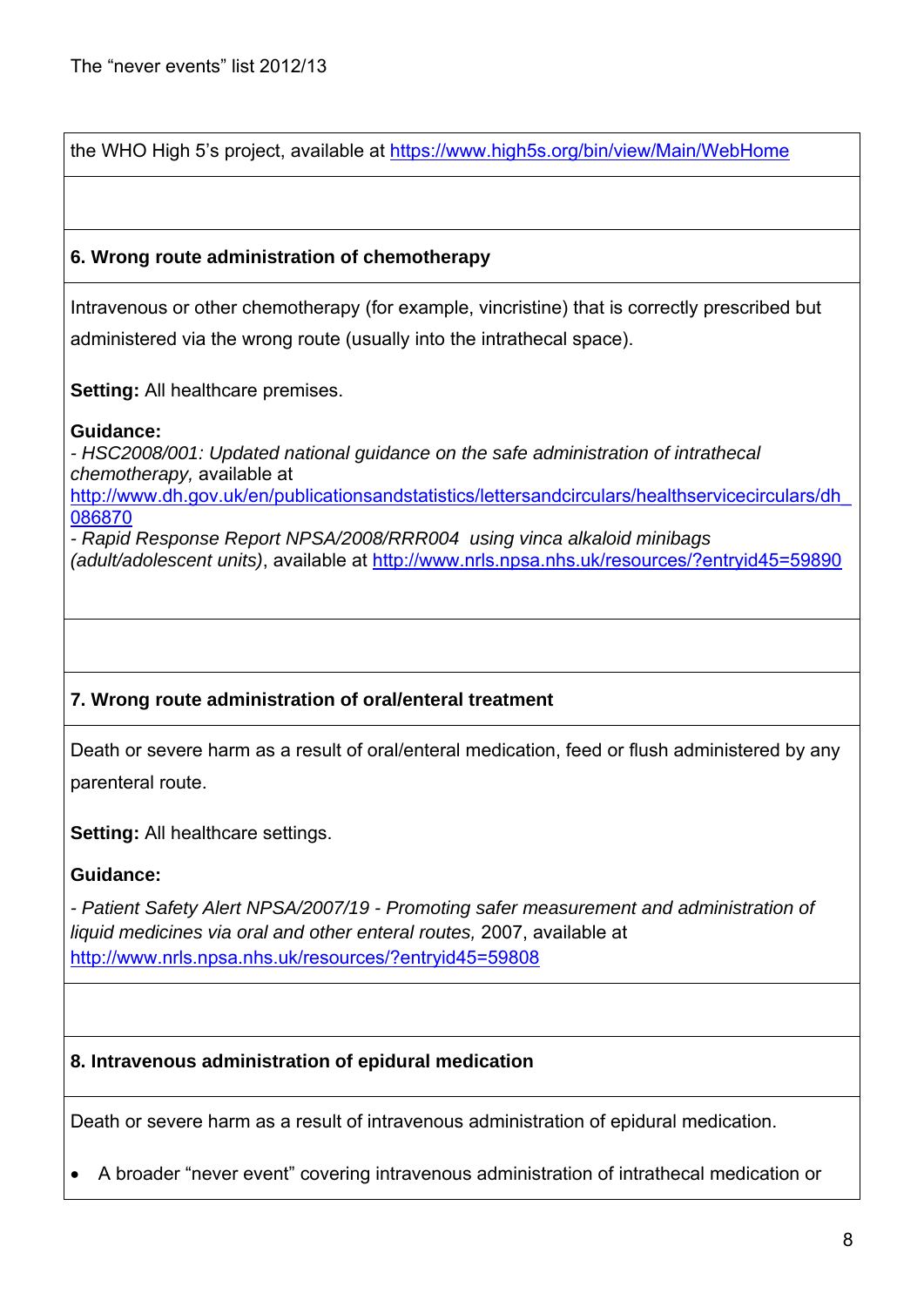the WHO High 5's project, available at https://www.high5s.org/bin/view/Main/WebHome

## **6. Wrong route administration of chemotherapy**

Intravenous or other chemotherapy (for example, vincristine) that is correctly prescribed but administered via the wrong route (usually into the intrathecal space).

**Setting:** All healthcare premises.

#### **Guidance:**

*- HSC2008/001: Updated national guidance on the safe administration of intrathecal chemotherapy,* available at http://www.dh.gov.uk/en/publicationsandstatistics/lettersandcirculars/healthservicecirculars/dh\_ 086870

*- Rapid Response Report NPSA/2008/RRR004 using vinca alkaloid minibags (adult/adolescent units)*, available at http://www.nrls.npsa.nhs.uk/resources/?entryid45=59890

# **7. Wrong route administration of oral/enteral treatment**

Death or severe harm as a result of oral/enteral medication, feed or flush administered by any parenteral route.

**Setting:** All healthcare settings.

# **Guidance:**

*- Patient Safety Alert NPSA/2007/19 - Promoting safer measurement and administration of liquid medicines via oral and other enteral routes,* 2007, available at http://www.nrls.npsa.nhs.uk/resources/?entryid45=59808

#### **8. Intravenous administration of epidural medication**

Death or severe harm as a result of intravenous administration of epidural medication.

A broader "never event" covering intravenous administration of intrathecal medication or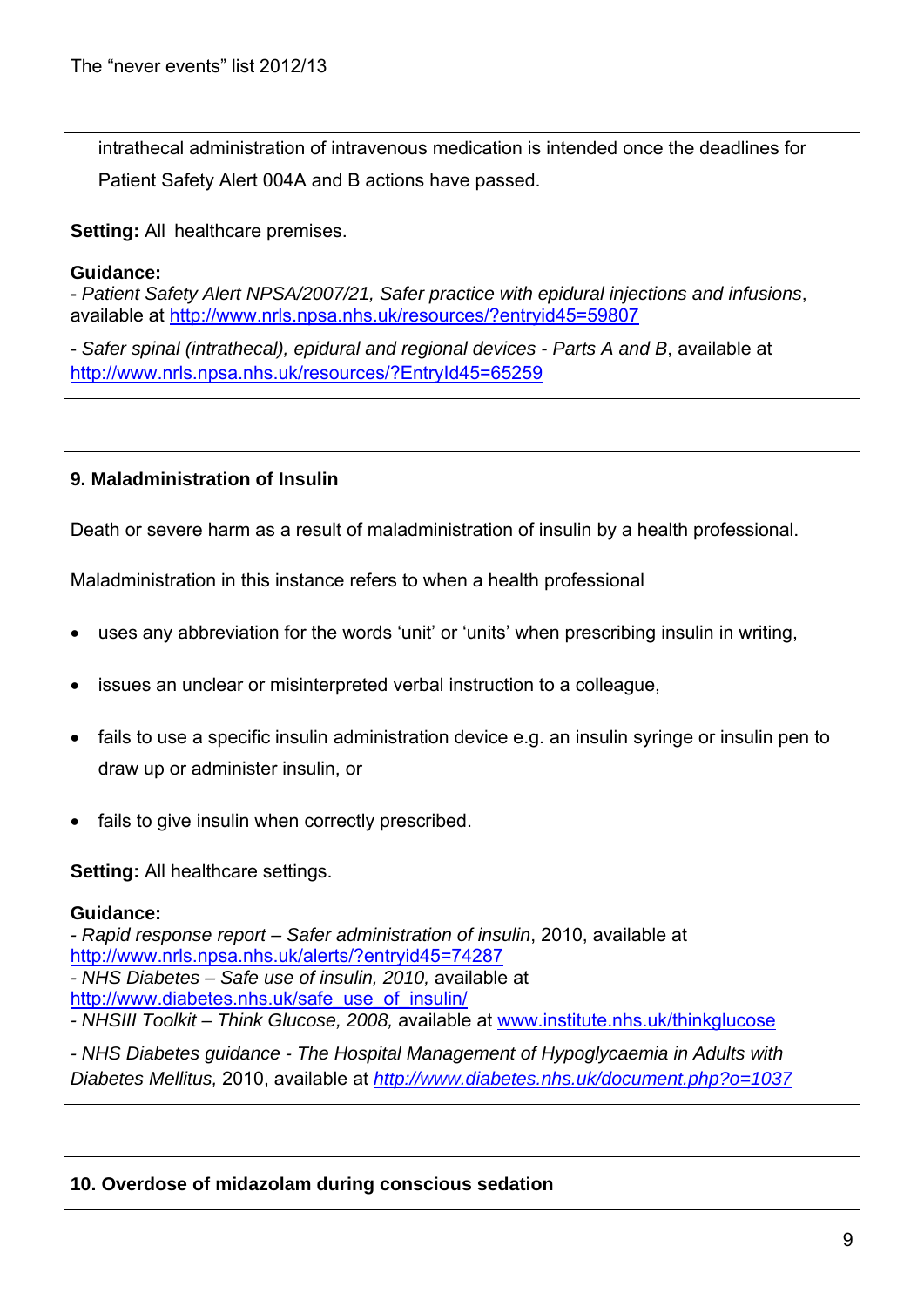intrathecal administration of intravenous medication is intended once the deadlines for Patient Safety Alert 004A and B actions have passed.

**Setting:** All healthcare premises.

#### **Guidance:**

- *Patient Safety Alert NPSA/2007/21, Safer practice with epidural injections and infusions*, available at http://www.nrls.npsa.nhs.uk/resources/?entryid45=59807

- *Safer spinal (intrathecal), epidural and regional devices - Parts A and B*, available at http://www.nrls.npsa.nhs.uk/resources/?EntryId45=65259

## **9. Maladministration of Insulin**

Death or severe harm as a result of maladministration of insulin by a health professional.

Maladministration in this instance refers to when a health professional

- uses any abbreviation for the words 'unit' or 'units' when prescribing insulin in writing,
- issues an unclear or misinterpreted verbal instruction to a colleague,
- fails to use a specific insulin administration device e.g. an insulin syringe or insulin pen to draw up or administer insulin, or
- fails to give insulin when correctly prescribed.

**Setting: All healthcare settings.** 

#### **Guidance:**

*- Rapid response report – Safer administration of insulin*, 2010, available at http://www.nrls.npsa.nhs.uk/alerts/?entryid45=74287 *- NHS Diabetes – Safe use of insulin, 2010,* available at http://www.diabetes.nhs.uk/safe\_use\_of\_insulin/ *- NHSIII Toolkit – Think Glucose, 2008,* available at www.institute.nhs.uk/thinkglucose

*- NHS Diabetes guidance - The Hospital Management of Hypoglycaemia in Adults with Diabetes Mellitus,* 2010, available at *http://www.diabetes.nhs.uk/document.php?o=1037*

#### **10. Overdose of midazolam during conscious sedation**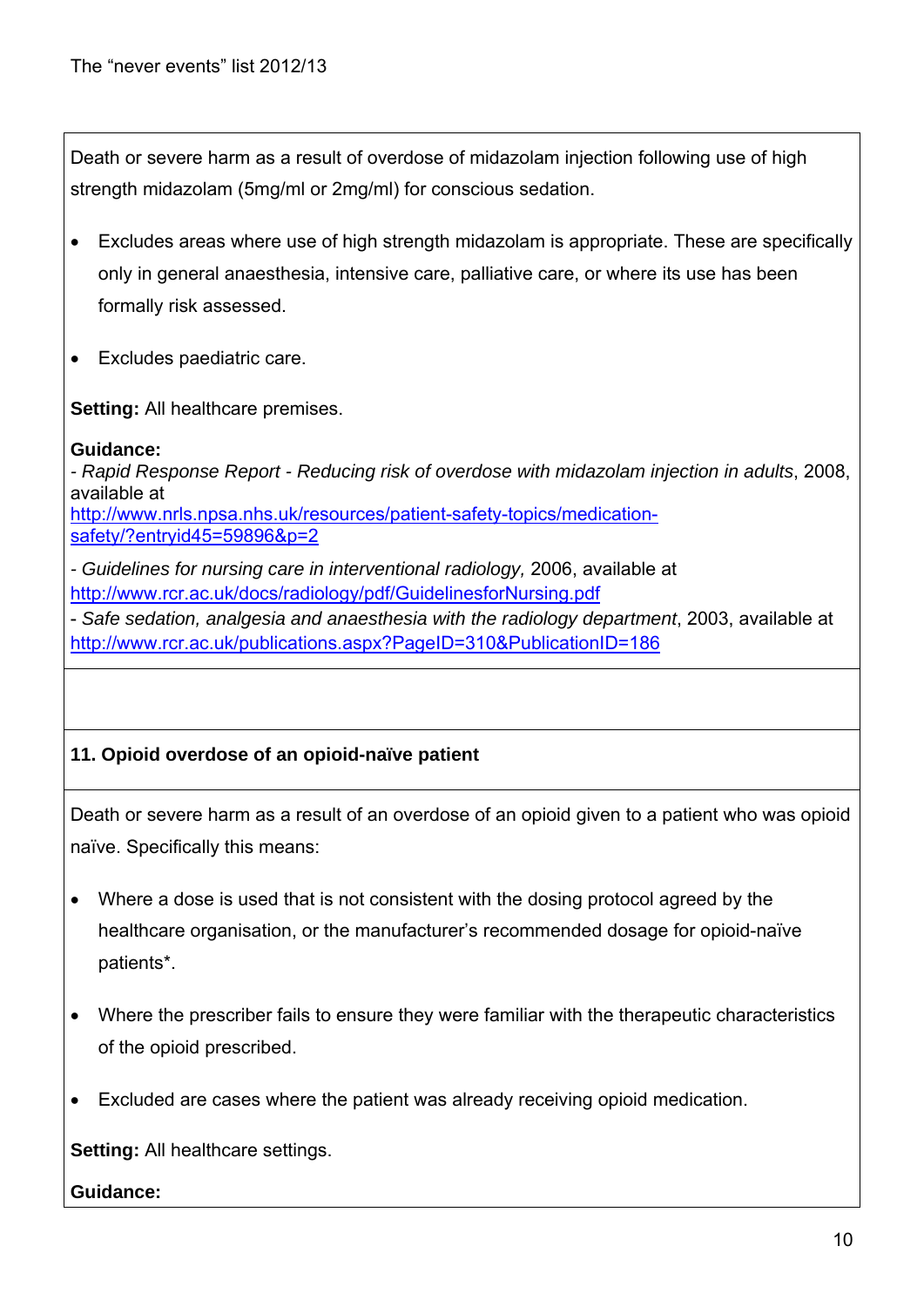Death or severe harm as a result of overdose of midazolam injection following use of high strength midazolam (5mg/ml or 2mg/ml) for conscious sedation.

- Excludes areas where use of high strength midazolam is appropriate. These are specifically only in general anaesthesia, intensive care, palliative care, or where its use has been formally risk assessed.
- Excludes paediatric care.

**Setting:** All healthcare premises.

#### **Guidance:**

*- Rapid Response Report - Reducing risk of overdose with midazolam injection in adults*, 2008, available at http://www.nrls.npsa.nhs.uk/resources/patient-safety-topics/medicationsafety/?entryid45=59896&p=2

*- Guidelines for nursing care in interventional radiology,* 2006, available at http://www.rcr.ac.uk/docs/radiology/pdf/GuidelinesforNursing.pdf

- *Safe sedation, analgesia and anaesthesia with the radiology department*, 2003, available at http://www.rcr.ac.uk/publications.aspx?PageID=310&PublicationID=186

# **11. Opioid overdose of an opioid-naïve patient**

Death or severe harm as a result of an overdose of an opioid given to a patient who was opioid naïve. Specifically this means:

- Where a dose is used that is not consistent with the dosing protocol agreed by the healthcare organisation, or the manufacturer's recommended dosage for opioid-naïve patients\*.
- Where the prescriber fails to ensure they were familiar with the therapeutic characteristics of the opioid prescribed.
- Excluded are cases where the patient was already receiving opioid medication.

**Setting:** All healthcare settings.

#### **Guidance:**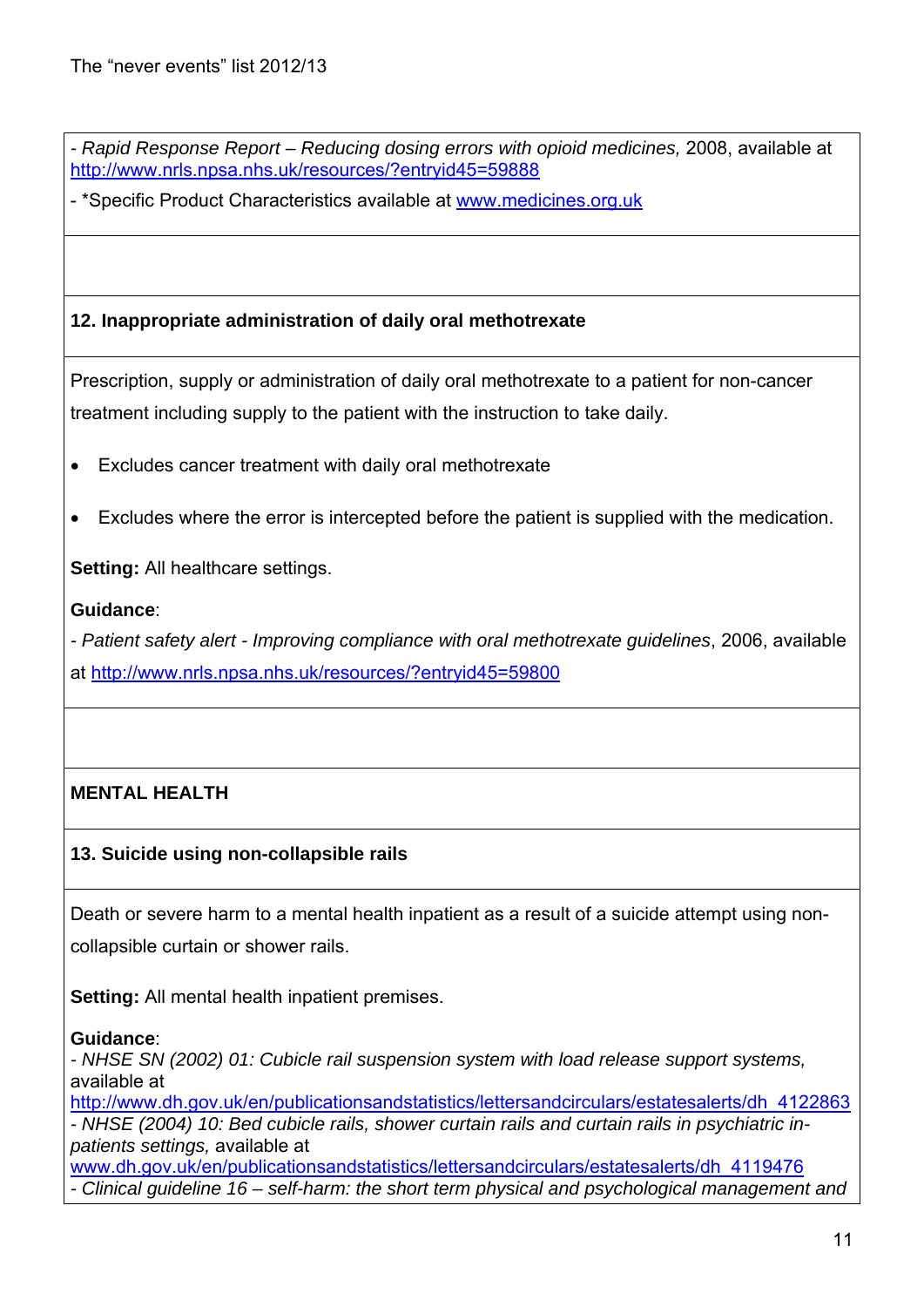*- Rapid Response Report – Reducing dosing errors with opioid medicines,* 2008, available at http://www.nrls.npsa.nhs.uk/resources/?entryid45=59888

- \*Specific Product Characteristics available at www.medicines.org.uk

# **12. Inappropriate administration of daily oral methotrexate**

Prescription, supply or administration of daily oral methotrexate to a patient for non-cancer treatment including supply to the patient with the instruction to take daily.

- Excludes cancer treatment with daily oral methotrexate
- Excludes where the error is intercepted before the patient is supplied with the medication.

**Setting:** All healthcare settings.

## **Guidance**:

*- Patient safety alert - Improving compliance with oral methotrexate guidelines*, 2006, available at http://www.nrls.npsa.nhs.uk/resources/?entryid45=59800

# **MENTAL HEALTH**

# **13. Suicide using non-collapsible rails**

Death or severe harm to a mental health inpatient as a result of a suicide attempt using noncollapsible curtain or shower rails.

**Setting:** All mental health inpatient premises.

#### **Guidance**:

*- NHSE SN (2002) 01: Cubicle rail suspension system with load release support systems,*  available at

http://www.dh.gov.uk/en/publicationsandstatistics/lettersandcirculars/estatesalerts/dh\_4122863 *- NHSE (2004) 10: Bed cubicle rails, shower curtain rails and curtain rails in psychiatric inpatients settings,* available at www.dh.gov.uk/en/publicationsandstatistics/lettersandcirculars/estatesalerts/dh\_4119476

*- Clinical guideline 16 – self-harm: the short term physical and psychological management and*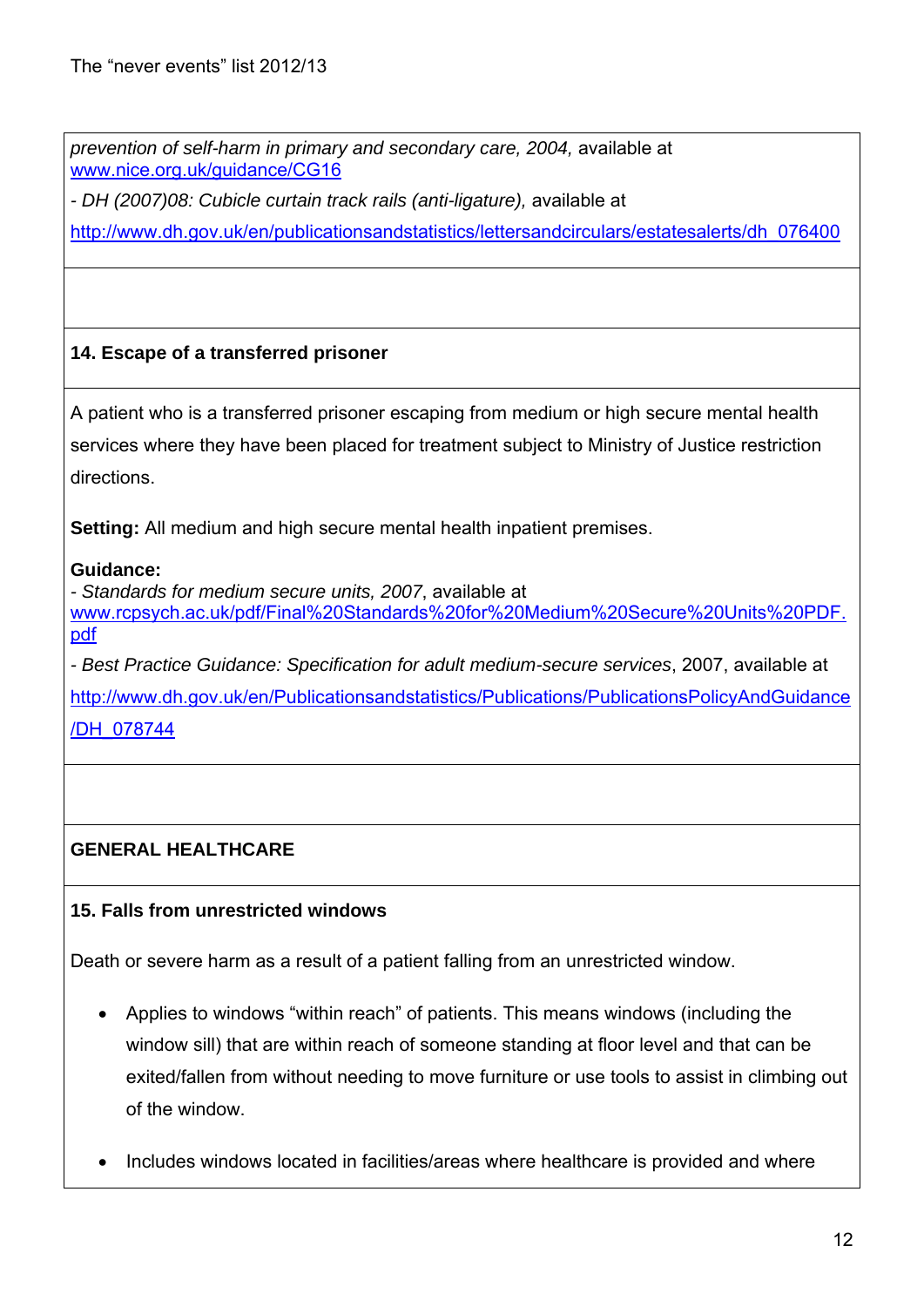*prevention of self-harm in primary and secondary care, 2004,* available at www.nice.org.uk/guidance/CG16

*- DH (2007)08: Cubicle curtain track rails (anti-ligature),* available at

http://www.dh.gov.uk/en/publicationsandstatistics/lettersandcirculars/estatesalerts/dh\_076400

# **14. Escape of a transferred prisoner**

A patient who is a transferred prisoner escaping from medium or high secure mental health services where they have been placed for treatment subject to Ministry of Justice restriction directions.

**Setting:** All medium and high secure mental health inpatient premises.

## **Guidance:**

*- Standards for medium secure units, 2007*, available at www.rcpsych.ac.uk/pdf/Final%20Standards%20for%20Medium%20Secure%20Units%20PDF. pdf

*- Best Practice Guidance: Specification for adult medium-secure services*, 2007, available at http://www.dh.gov.uk/en/Publicationsandstatistics/Publications/PublicationsPolicyAndGuidance

/DH\_078744

# **GENERAL HEALTHCARE**

# **15. Falls from unrestricted windows**

Death or severe harm as a result of a patient falling from an unrestricted window.

- Applies to windows "within reach" of patients. This means windows (including the window sill) that are within reach of someone standing at floor level and that can be exited/fallen from without needing to move furniture or use tools to assist in climbing out of the window.
- Includes windows located in facilities/areas where healthcare is provided and where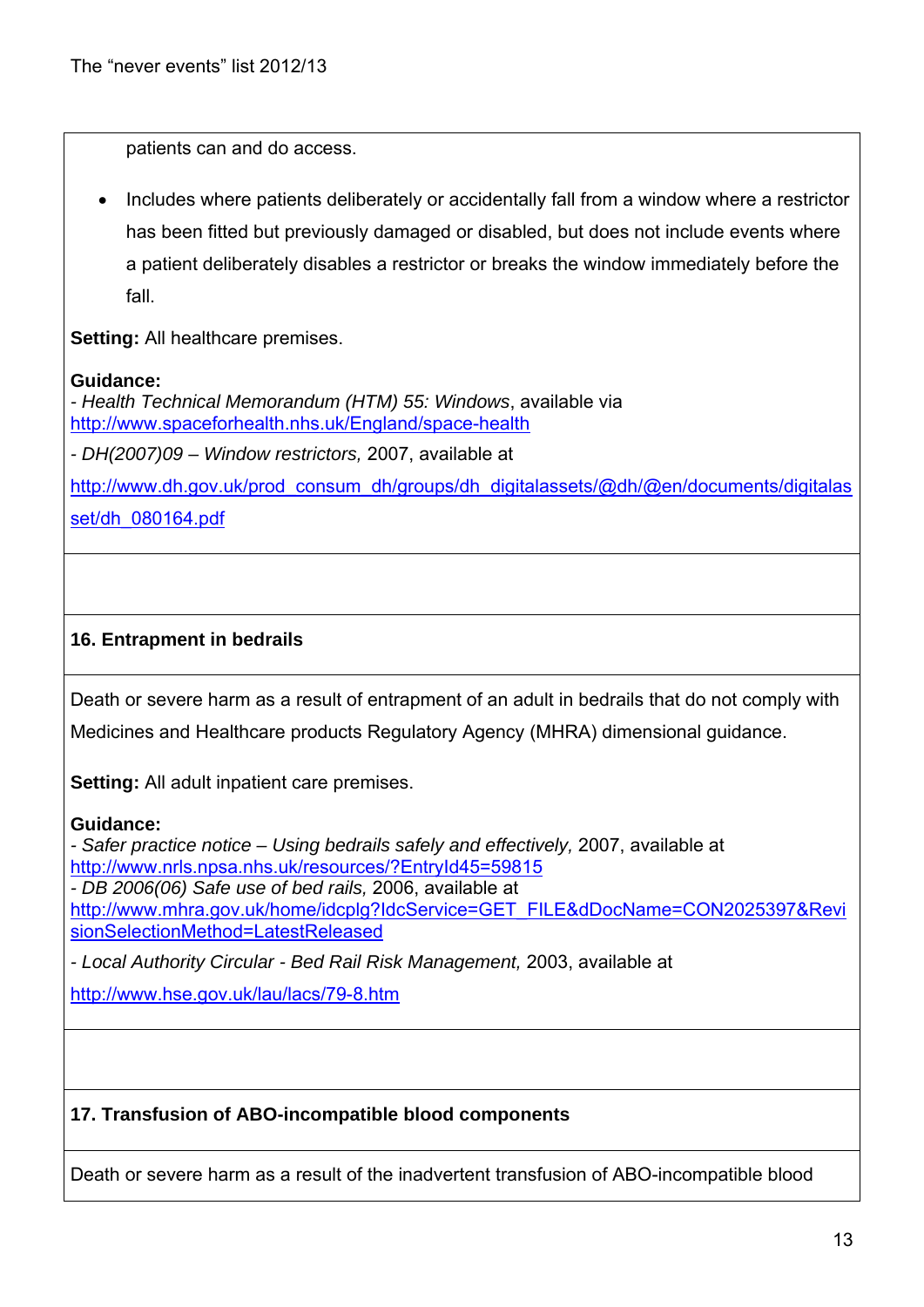patients can and do access.

 Includes where patients deliberately or accidentally fall from a window where a restrictor has been fitted but previously damaged or disabled, but does not include events where a patient deliberately disables a restrictor or breaks the window immediately before the fall.

**Setting:** All healthcare premises.

#### **Guidance:**

*- Health Technical Memorandum (HTM) 55: Windows*, available via http://www.spaceforhealth.nhs.uk/England/space-health

*- DH(2007)09 – Window restrictors,* 2007, available at

http://www.dh.gov.uk/prod\_consum\_dh/groups/dh\_digitalassets/@dh/@en/documents/digitalas

set/dh\_080164.pdf

# **16. Entrapment in bedrails**

Death or severe harm as a result of entrapment of an adult in bedrails that do not comply with Medicines and Healthcare products Regulatory Agency (MHRA) dimensional guidance.

**Setting:** All adult inpatient care premises.

#### **Guidance:**

*- Safer practice notice – Using bedrails safely and effectively,* 2007, available at http://www.nrls.npsa.nhs.uk/resources/?EntryId45=59815 *- DB 2006(06) Safe use of bed rails,* 2006, available at http://www.mhra.gov.uk/home/idcplg?IdcService=GET\_FILE&dDocName=CON2025397&Revi sionSelectionMethod=LatestReleased

*- Local Authority Circular - Bed Rail Risk Management,* 2003, available at

http://www.hse.gov.uk/lau/lacs/79-8.htm

# **17. Transfusion of ABO-incompatible blood components**

Death or severe harm as a result of the inadvertent transfusion of ABO-incompatible blood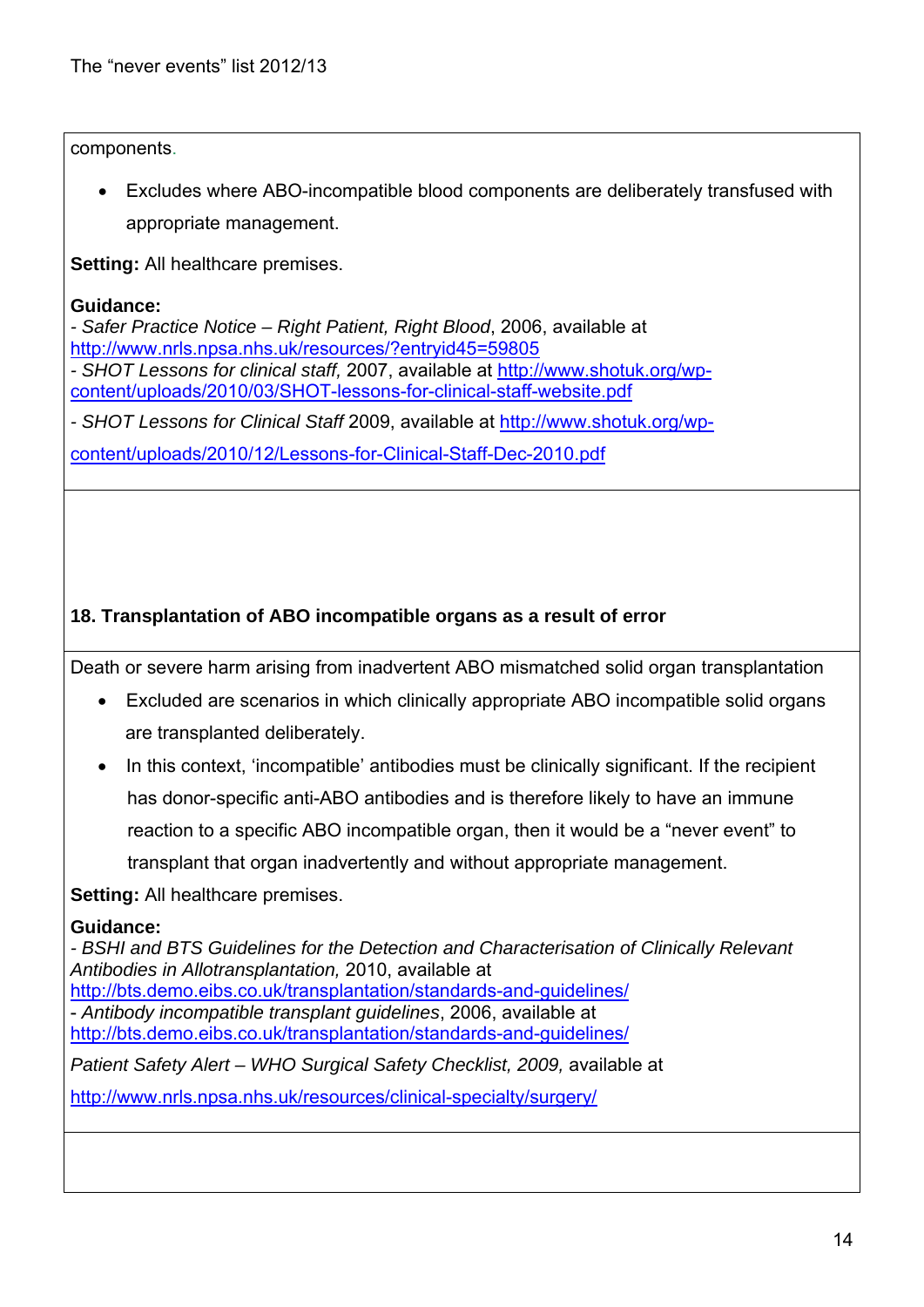components.

 Excludes where ABO-incompatible blood components are deliberately transfused with appropriate management.

**Setting:** All healthcare premises.

#### **Guidance:**

*- Safer Practice Notice – Right Patient, Right Blood*, 2006, available at http://www.nrls.npsa.nhs.uk/resources/?entryid45=59805

*- SHOT Lessons for clinical staff,* 2007, available at http://www.shotuk.org/wpcontent/uploads/2010/03/SHOT-lessons-for-clinical-staff-website.pdf

*- SHOT Lessons for Clinical Staff* 2009, available at http://www.shotuk.org/wp-

content/uploads/2010/12/Lessons-for-Clinical-Staff-Dec-2010.pdf

# **18. Transplantation of ABO incompatible organs as a result of error**

Death or severe harm arising from inadvertent ABO mismatched solid organ transplantation

- Excluded are scenarios in which clinically appropriate ABO incompatible solid organs are transplanted deliberately.
- In this context, 'incompatible' antibodies must be clinically significant. If the recipient has donor-specific anti-ABO antibodies and is therefore likely to have an immune reaction to a specific ABO incompatible organ, then it would be a "never event" to transplant that organ inadvertently and without appropriate management.

**Setting:** All healthcare premises.

#### **Guidance:**

*- BSHI and BTS Guidelines for the Detection and Characterisation of Clinically Relevant Antibodies in Allotransplantation,* 2010, available at http://bts.demo.eibs.co.uk/transplantation/standards-and-guidelines/ - *Antibody incompatible transplant guidelines*, 2006, available at http://bts.demo.eibs.co.uk/transplantation/standards-and-guidelines/ Patient Safety Alert – WHO Surgical Safety Checklist, 2009, available at

http://www.nrls.npsa.nhs.uk/resources/clinical-specialty/surgery/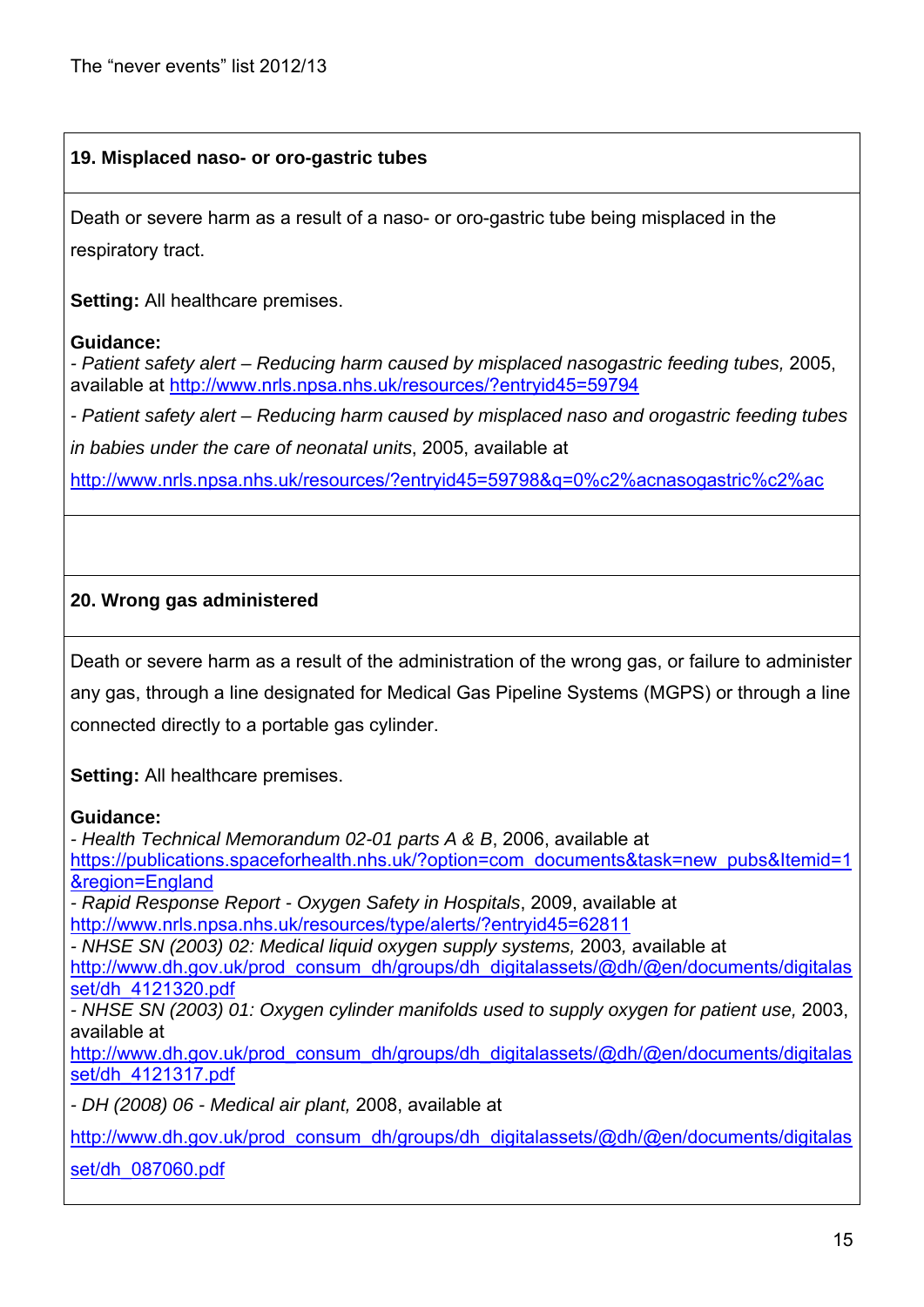#### **19. Misplaced naso- or oro-gastric tubes**

Death or severe harm as a result of a naso- or oro-gastric tube being misplaced in the respiratory tract.

**Setting:** All healthcare premises.

#### **Guidance:**

- Patient safety alert – Reducing harm caused by misplaced nasogastric feeding tubes, 2005, available at http://www.nrls.npsa.nhs.uk/resources/?entryid45=59794

*- Patient safety alert – Reducing harm caused by misplaced naso and orogastric feeding tubes* 

*in babies under the care of neonatal units*, 2005, available at

http://www.nrls.npsa.nhs.uk/resources/?entryid45=59798&q=0%c2%acnasogastric%c2%ac

#### **20. Wrong gas administered**

Death or severe harm as a result of the administration of the wrong gas, or failure to administer any gas, through a line designated for Medical Gas Pipeline Systems (MGPS) or through a line connected directly to a portable gas cylinder.

**Setting:** All healthcare premises.

#### **Guidance:**

*- Health Technical Memorandum 02-01 parts A & B*, 2006, available at https://publications.spaceforhealth.nhs.uk/?option=com\_documents&task=new\_pubs&Itemid=1 &region=England *- Rapid Response Report - Oxygen Safety in Hospitals*, 2009, available at http://www.nrls.npsa.nhs.uk/resources/type/alerts/?entryid45=62811 *- NHSE SN (2003) 02: Medical liquid oxygen supply systems,* 2003*,* available at http://www.dh.gov.uk/prod\_consum\_dh/groups/dh\_digitalassets/@dh/@en/documents/digitalas set/dh\_4121320.pdf *- NHSE SN (2003) 01: Oxygen cylinder manifolds used to supply oxygen for patient use,* 2003, available at http://www.dh.gov.uk/prod\_consum\_dh/groups/dh\_digitalassets/@dh/@en/documents/digitalas set/dh\_4121317.pdf *- DH (2008) 06 - Medical air plant,* 2008, available at http://www.dh.gov.uk/prod\_consum\_dh/groups/dh\_digitalassets/@dh/@en/documents/digitalas set/dh\_087060.pdf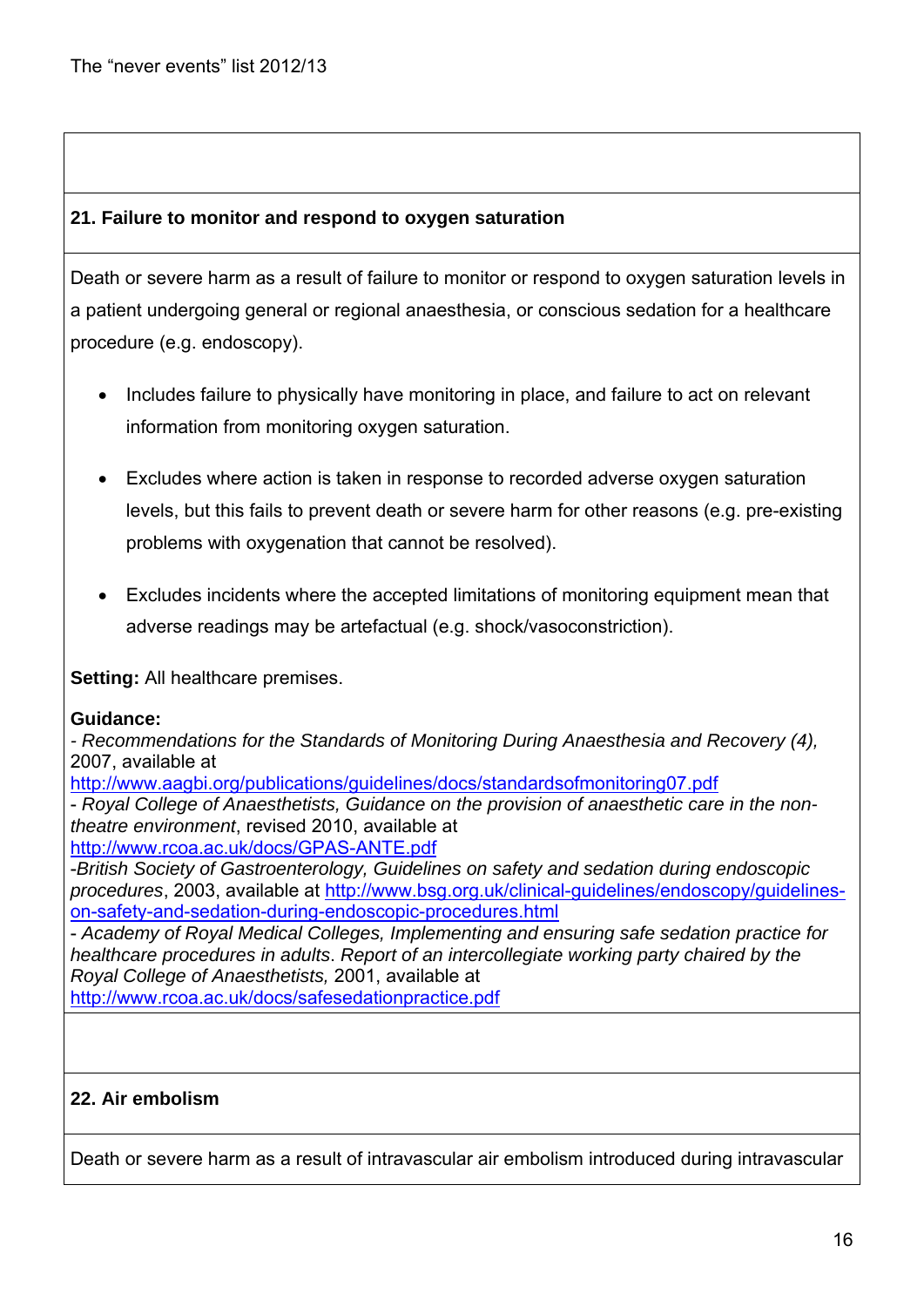## **21. Failure to monitor and respond to oxygen saturation**

Death or severe harm as a result of failure to monitor or respond to oxygen saturation levels in a patient undergoing general or regional anaesthesia, or conscious sedation for a healthcare procedure (e.g. endoscopy).

- Includes failure to physically have monitoring in place, and failure to act on relevant information from monitoring oxygen saturation.
- Excludes where action is taken in response to recorded adverse oxygen saturation levels, but this fails to prevent death or severe harm for other reasons (e.g. pre-existing problems with oxygenation that cannot be resolved).
- Excludes incidents where the accepted limitations of monitoring equipment mean that adverse readings may be artefactual (e.g. shock/vasoconstriction).

**Setting:** All healthcare premises.

#### **Guidance:**

*- Recommendations for the Standards of Monitoring During Anaesthesia and Recovery (4),*  2007, available at

http://www.aagbi.org/publications/guidelines/docs/standardsofmonitoring07.pdf

- *Royal College of Anaesthetists, Guidance on the provision of anaesthetic care in the nontheatre environment*, revised 2010, available at

http://www.rcoa.ac.uk/docs/GPAS-ANTE.pdf

-*British Society of Gastroenterology, Guidelines on safety and sedation during endoscopic procedures*, 2003, available at http://www.bsg.org.uk/clinical-guidelines/endoscopy/guidelineson-safety-and-sedation-during-endoscopic-procedures.html

- *Academy of Royal Medical Colleges, Implementing and ensuring safe sedation practice for healthcare procedures in adults*. *Report of an intercollegiate working party chaired by the Royal College of Anaesthetists,* 2001, available at

http://www.rcoa.ac.uk/docs/safesedationpractice.pdf

#### **22. Air embolism**

Death or severe harm as a result of intravascular air embolism introduced during intravascular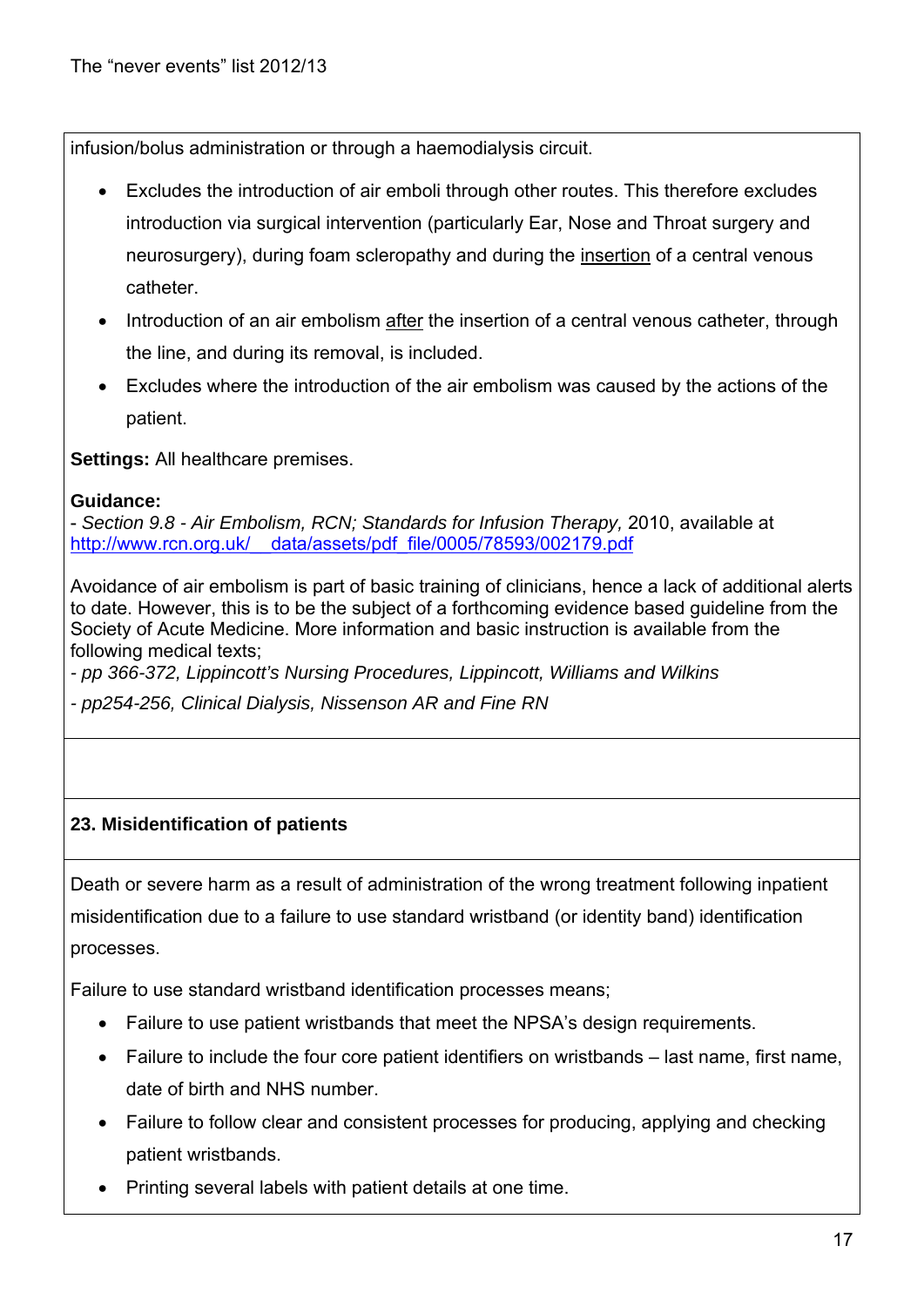infusion/bolus administration or through a haemodialysis circuit.

- Excludes the introduction of air emboli through other routes. This therefore excludes introduction via surgical intervention (particularly Ear, Nose and Throat surgery and neurosurgery), during foam scleropathy and during the insertion of a central venous catheter.
- Introduction of an air embolism after the insertion of a central venous catheter, through the line, and during its removal, is included.
- Excludes where the introduction of the air embolism was caused by the actions of the patient.

**Settings:** All healthcare premises.

## **Guidance:**

- *Section 9.8 - Air Embolism, RCN; Standards for Infusion Therapy,* 2010, available at http://www.rcn.org.uk/\_\_data/assets/pdf\_file/0005/78593/002179.pdf

Avoidance of air embolism is part of basic training of clinicians, hence a lack of additional alerts to date. However, this is to be the subject of a forthcoming evidence based guideline from the Society of Acute Medicine. More information and basic instruction is available from the following medical texts;

*- pp 366-372, Lippincott's Nursing Procedures, Lippincott, Williams and Wilkins* 

*- pp254-256, Clinical Dialysis, Nissenson AR and Fine RN*

# **23. Misidentification of patients**

Death or severe harm as a result of administration of the wrong treatment following inpatient misidentification due to a failure to use standard wristband (or identity band) identification processes.

Failure to use standard wristband identification processes means;

- Failure to use patient wristbands that meet the NPSA's design requirements.
- Failure to include the four core patient identifiers on wristbands last name, first name, date of birth and NHS number.
- Failure to follow clear and consistent processes for producing, applying and checking patient wristbands.
- Printing several labels with patient details at one time.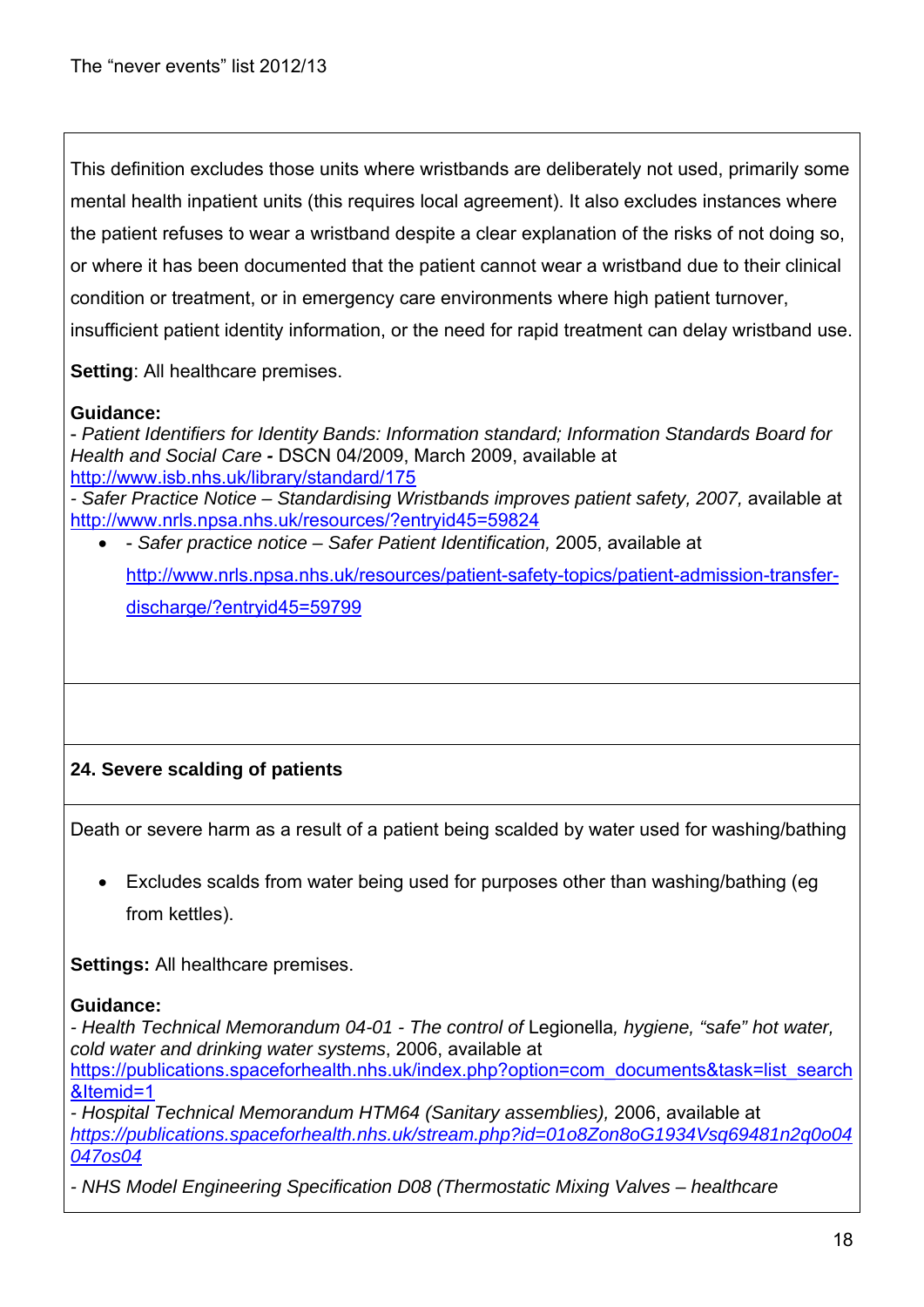This definition excludes those units where wristbands are deliberately not used, primarily some mental health inpatient units (this requires local agreement). It also excludes instances where the patient refuses to wear a wristband despite a clear explanation of the risks of not doing so, or where it has been documented that the patient cannot wear a wristband due to their clinical condition or treatment, or in emergency care environments where high patient turnover, insufficient patient identity information, or the need for rapid treatment can delay wristband use.

**Setting**: All healthcare premises.

#### **Guidance:**

- *Patient Identifiers for Identity Bands: Information standard; Information Standards Board for Health and Social Care -* DSCN 04/2009, March 2009, available at http://www.isb.nhs.uk/library/standard/175

- Safer Practice Notice – Standardising Wristbands improves patient safety, 2007, available at http://www.nrls.npsa.nhs.uk/resources/?entryid45=59824

 - *Safer practice notice – Safer Patient Identification,* 2005, available at http://www.nrls.npsa.nhs.uk/resources/patient-safety-topics/patient-admission-transferdischarge/?entryid45=59799

# **24. Severe scalding of patients**

Death or severe harm as a result of a patient being scalded by water used for washing/bathing

 Excludes scalds from water being used for purposes other than washing/bathing (eg from kettles).

**Settings:** All healthcare premises.

#### **Guidance:**

*- Health Technical Memorandum 04-01 - The control of* Legionella*, hygiene, "safe" hot water, cold water and drinking water systems*, 2006, available at https://publications.spaceforhealth.nhs.uk/index.php?option=com\_documents&task=list\_search &Itemid=1

*- Hospital Technical Memorandum HTM64 (Sanitary assemblies),* 2006, available at *https://publications.spaceforhealth.nhs.uk/stream.php?id=01o8Zon8oG1934Vsq69481n2q0o04 047os04*

*- NHS Model Engineering Specification D08 (Thermostatic Mixing Valves – healthcare*